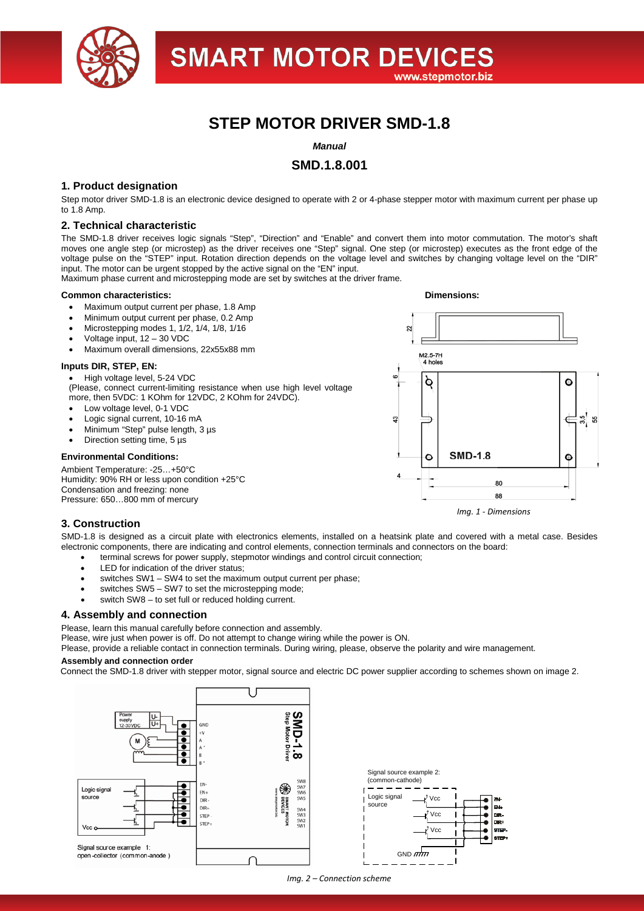

# **SMART MOTOR DEVICES**

# **STEP MOTOR DRIVER SMD-1.8**

*Manual*

# **SMD.1.8.001**

#### **1. Product designation**

Step motor driver SMD-1.8 is an electronic device designed to operate with 2 or 4-phase stepper motor with maximum current per phase up to 1.8 Amp.

#### **2. Technical characteristic**

The SMD-1.8 driver receives logic signals "Step", "Direction" and "Enable" and convert them into motor commutation. The motor's shaft moves one angle step (or microstep) as the driver receives one "Step" signal. One step (or microstep) executes as the front edge of the voltage pulse on the "STEP" input. Rotation direction depends on the voltage level and switches by changing voltage level on the "DIR" input. The motor can be urgent stopped by the active signal on the "EN" input.

Maximum phase current and microstepping mode are set by switches at the driver frame.

#### **Common characteristics: Dimensions:**

- Maximum output current per phase, 1.8 Amp
- Minimum output current per phase, 0.2 Amp
- Microstepping modes 1, 1/2, 1/4, 1/8, 1/16
- Voltage input, 12 30 VDC
- Maximum overall dimensions, 22x55x88 mm

#### **Inputs DIR, STEP, EN:**

• High voltage level, 5-24 VDC (Please, connect current-limiting resistance when use high level voltage more, then 5VDC: 1 KOhm for 12VDC, 2 KOhm for 24VDC).

- Low voltage level, 0-1 VDC
- Logic signal current, 10-16 mA
- Minimum "Step" pulse length, 3 µs
- Direction setting time, 5 µs

#### **Environmental Conditions:**

Ambient Temperature: -25…+50°C Humidity: 90% RH or less upon condition +25°C Condensation and freezing: none Pressure: 650…800 mm of mercury

# **3. Construction**

SMD-1.8 is designed as a circuit plate with electronics elements, installed on a heatsink plate and covered with a metal case. Besides electronic components, there are indicating and control elements, connection terminals and connectors on the board:

- terminal screws for power supply, stepmotor windings and control circuit connection;
- LED for indication of the driver status;
- switches SW1 SW4 to set the maximum output current per phase;
- switches SW5 SW7 to set the microstepping mode;
- switch SW8 to set full or reduced holding current.

#### **4. Assembly and connection**

Please, learn this manual carefully before connection and assembly.

Please, wire just when power is off. Do not attempt to change wiring while the power is ON.

Please, provide a reliable contact in connection terminals. During wiring, please, observe the polarity and wire management.

#### **Assembly and connection order**

Connect the SMD-1.8 driver with stepper motor, signal source and electric DC power supplier according to schemes shown on image 2.



*Img. 2 – Connection scheme*





*Img. 1 - Dimensions*